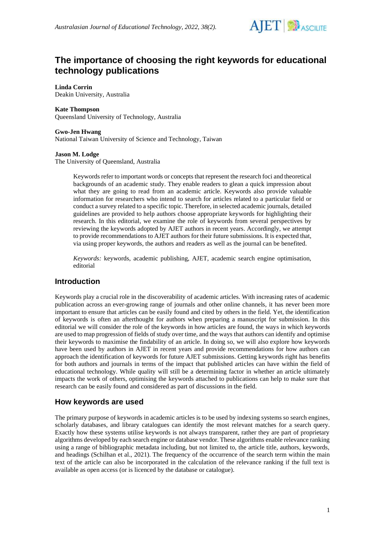

# **The importance of choosing the right keywords for educational technology publications**

**Linda Corrin**

Deakin University, Australia

#### **Kate Thompson**

Queensland University of Technology, Australia

#### **Gwo-Jen Hwang**

National Taiwan University of Science and Technology, Taiwan

#### **Jason M. Lodge**

The University of Queensland, Australia

Keywords refer to important words or concepts that represent the research foci and theoretical backgrounds of an academic study. They enable readers to glean a quick impression about what they are going to read from an academic article. Keywords also provide valuable information for researchers who intend to search for articles related to a particular field or conduct a survey related to a specific topic. Therefore, in selected academic journals, detailed guidelines are provided to help authors choose appropriate keywords for highlighting their research. In this editorial, we examine the role of keywords from several perspectives by reviewing the keywords adopted by AJET authors in recent years. Accordingly, we attempt to provide recommendations to AJET authors for their future submissions. It is expected that, via using proper keywords, the authors and readers as well as the journal can be benefited.

*Keywords:* keywords, academic publishing, AJET, academic search engine optimisation, editorial

## **Introduction**

Keywords play a crucial role in the discoverability of academic articles. With increasing rates of academic publication across an ever-growing range of journals and other online channels, it has never been more important to ensure that articles can be easily found and cited by others in the field. Yet, the identification of keywords is often an afterthought for authors when preparing a manuscript for submission. In this editorial we will consider the role of the keywords in how articles are found, the ways in which keywords are used to map progression of fields of study over time, and the ways that authors can identify and optimise their keywords to maximise the findability of an article. In doing so, we will also explore how keywords have been used by authors in AJET in recent years and provide recommendations for how authors can approach the identification of keywords for future AJET submissions. Getting keywords right has benefits for both authors and journals in terms of the impact that published articles can have within the field of educational technology. While quality will still be a determining factor in whether an article ultimately impacts the work of others, optimising the keywords attached to publications can help to make sure that research can be easily found and considered as part of discussions in the field.

## **How keywords are used**

The primary purpose of keywords in academic articles is to be used by indexing systems so search engines, scholarly databases, and library catalogues can identify the most relevant matches for a search query. Exactly how these systems utilise keywords is not always transparent, rather they are part of proprietary algorithms developed by each search engine or database vendor. These algorithms enable relevance ranking using a range of bibliographic metadata including, but not limited to, the article title, authors, keywords, and headings (Schilhan et al., 2021). The frequency of the occurrence of the search term within the main text of the article can also be incorporated in the calculation of the relevance ranking if the full text is available as open access (or is licenced by the database or catalogue).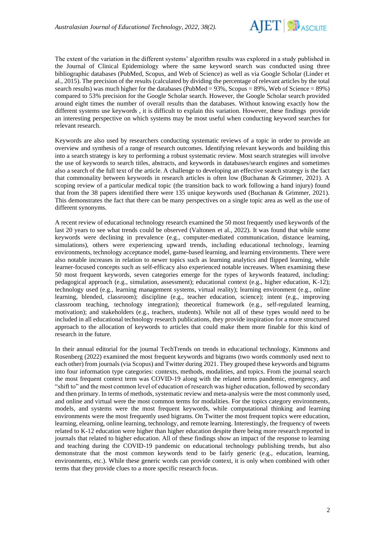

The extent of the variation in the different systems' algorithm results was explored in a study published in the Journal of Clinical Epidemiology where the same keyword search was conducted using three bibliographic databases (PubMed, Scopus, and Web of Science) as well as via Google Scholar (Linder et al., 2015). The precision of the results (calculated by dividing the percentage of relevant articles by the total search results) was much higher for the databases (PubMed =  $93\%$ , Scopus =  $89\%$ , Web of Science =  $89\%$ ) compared to 53% precision for the Google Scholar search. However, the Google Scholar search provided around eight times the number of overall results than the databases. Without knowing exactly how the different systems use keywords , it is difficult to explain this variation. However, these findings provide an interesting perspective on which systems may be most useful when conducting keyword searches for relevant research.

Keywords are also used by researchers conducting systematic reviews of a topic in order to provide an overview and synthesis of a range of research outcomes. Identifying relevant keywords and building this into a search strategy is key to performing a robust systematic review. Most search strategies will involve the use of keywords to search titles, abstracts, and keywords in databases/search engines and sometimes also a search of the full text of the article. A challenge to developing an effective search strategy is the fact that commonality between keywords in research articles is often low (Buchanan & Grimmer, 2021). A scoping review of a particular medical topic (the transition back to work following a hand injury) found that from the 38 papers identified there were 135 unique keywords used (Buchanan & Grimmer, 2021). This demonstrates the fact that there can be many perspectives on a single topic area as well as the use of different synonyms.

A recent review of educational technology research examined the 50 most frequently used keywords of the last 20 years to see what trends could be observed (Valtonen et al., 2022). It was found that while some keywords were declining in prevalence (e.g., computer-mediated communication, distance learning, simulations), others were experiencing upward trends, including educational technology, learning environments, technology acceptance model, game-based learning, and learning environments. There were also notable increases in relation to newer topics such as learning analytics and flipped learning, while learner-focused concepts such as self-efficacy also experienced notable increases. When examining these 50 most frequent keywords, seven categories emerge for the types of keywords featured, including: pedagogical approach (e.g., simulation, assessment); educational context (e.g., higher education, K-12); technology used (e.g., learning management systems, virtual reality); learning environment (e.g., online learning, blended, classroom); discipline (e.g., teacher education, science); intent (e.g., improving classroom teaching, technology integration); theoretical framework (e.g., self-regulated learning, motivation); and stakeholders (e.g., teachers, students). While not all of these types would need to be included in all educational technology research publications, they provide inspiration for a more structured approach to the allocation of keywords to articles that could make them more finable for this kind of research in the future.

In their annual editorial for the journal TechTrends on trends in educational technology, Kimmons and Rosenberg (2022) examined the most frequent keywords and bigrams (two words commonly used next to each other) from journals (via Scopus) and Twitter during 2021. They grouped these keywords and bigrams into four information type categories: contexts, methods, modalities, and topics. From the journal search the most frequent context term was COVID-19 along with the related terms pandemic, emergency, and "shift to" and the most common level of education of research was higher education, followed by secondary and then primary. In terms of methods, systematic review and meta-analysis were the most commonly used, and online and virtual were the most common terms for modalities. For the topics category environments, models, and systems were the most frequent keywords, while computational thinking and learning environments were the most frequently used bigrams. On Twitter the most frequent topics were education, learning, elearning, online learning, technology, and remote learning. Interestingly, the frequency of tweets related to K-12 education were higher than higher education despite there being more research reported in journals that related to higher education. All of these findings show an impact of the response to learning and teaching during the COVID-19 pandemic on educational technology publishing trends, but also demonstrate that the most common keywords tend to be fairly generic (e.g., education, learning, environments, etc.). While these generic words can provide context, it is only when combined with other terms that they provide clues to a more specific research focus.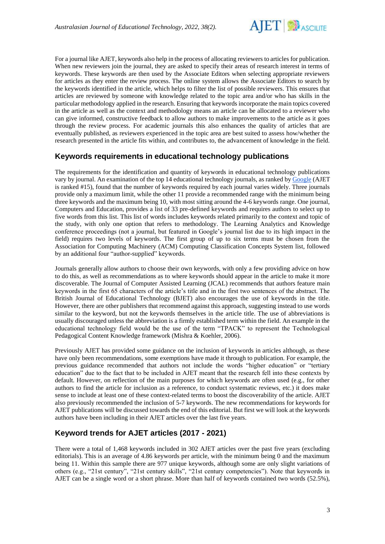

For a journal like AJET, keywords also help in the process of allocating reviewers to articles for publication. When new reviewers join the journal, they are asked to specify their areas of research interest in terms of keywords. These keywords are then used by the Associate Editors when selecting appropriate reviewers for articles as they enter the review process. The online system allows the Associate Editors to search by the keywords identified in the article, which helps to filter the list of possible reviewers. This ensures that articles are reviewed by someone with knowledge related to the topic area and/or who has skills in the particular methodology applied in the research. Ensuring that keywords incorporate the main topics covered in the article as well as the context and methodology means an article can be allocated to a reviewer who can give informed, constructive feedback to allow authors to make improvements to the article as it goes through the review process. For academic journals this also enhances the quality of articles that are eventually published, as reviewers experienced in the topic area are best suited to assess how/whether the research presented in the article fits within, and contributes to, the advancement of knowledge in the field.

## **Keywords requirements in educational technology publications**

The requirements for the identification and quantity of keywords in educational technology publications vary by journal. An examination of the top 14 educational technology journals, as ranked b[y Google](https://scholar.google.com/citations?view_op=top_venues&hl=en&vq=eng_educationaltechnology) (AJET is ranked #15), found that the number of keywords required by each journal varies widely. Three journals provide only a maximum limit, while the other 11 provide a recommended range with the minimum being three keywords and the maximum being 10, with most sitting around the 4-6 keywords range. One journal, Computers and Education, provides a list of 33 pre-defined keywords and requires authors to select up to five words from this list. This list of words includes keywords related primarily to the context and topic of the study, with only one option that refers to methodology. The Learning Analytics and Knowledge conference proceedings (not a journal, but featured in Google's journal list due to its high impact in the field) requires two levels of keywords. The first group of up to six terms must be chosen from the Association for Computing Machinery (ACM) Computing Classification Concepts System list, followed by an additional four "author-supplied" keywords.

Journals generally allow authors to choose their own keywords, with only a few providing advice on how to do this, as well as recommendations as to where keywords should appear in the article to make it more discoverable. The Journal of Computer Assisted Learning (JCAL) recommends that authors feature main keywords in the first 65 characters of the article's title and in the first two sentences of the abstract. The British Journal of Educational Technology (BJET) also encourages the use of keywords in the title. However, there are other publishers that recommend against this approach, suggesting instead to use words similar to the keyword, but not the keywords themselves in the article title. The use of abbreviations is usually discouraged unless the abbreviation is a firmly established term within the field. An example in the educational technology field would be the use of the term "TPACK" to represent the Technological Pedagogical Content Knowledge framework (Mishra & Koehler, 2006).

Previously AJET has provided some guidance on the inclusion of keywords in articles although, as these have only been recommendations, some exemptions have made it through to publication. For example, the previous guidance recommended that authors not include the words "higher education" or "tertiary education" due to the fact that to be included in AJET meant that the research fell into these contexts by default. However, on reflection of the main purposes for which keywords are often used (e.g., for other authors to find the article for inclusion as a reference, to conduct systematic reviews, etc.) it does make sense to include at least one of these context-related terms to boost the discoverability of the article. AJET also previously recommended the inclusion of 5-7 keywords. The new recommendations for keywords for AJET publications will be discussed towards the end of this editorial. But first we will look at the keywords authors have been including in their AJET articles over the last five years.

## **Keyword trends for AJET articles (2017 - 2021)**

There were a total of 1,468 keywords included in 302 AJET articles over the past five years (excluding editorials). This is an average of 4.86 keywords per article, with the minimum being 0 and the maximum being 11. Within this sample there are 977 unique keywords, although some are only slight variations of others (e.g., "21st century", "21st century skills", "21st century competencies"). Note that keywords in AJET can be a single word or a short phrase. More than half of keywords contained two words (52.5%),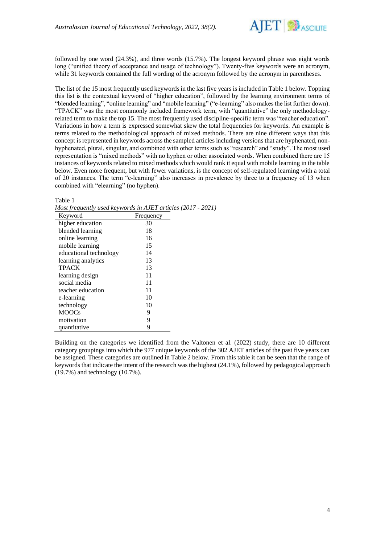

followed by one word (24.3%), and three words (15.7%). The longest keyword phrase was eight words long ("unified theory of acceptance and usage of technology"). Twenty-five keywords were an acronym, while 31 keywords contained the full wording of the acronym followed by the acronym in parentheses.

The list of the 15 most frequently used keywords in the last five years is included in Table 1 below. Topping this list is the contextual keyword of "higher education", followed by the learning environment terms of "blended learning", "online learning" and "mobile learning" ("e-learning" also makes the list further down). "TPACK" was the most commonly included framework term, with "quantitative" the only methodologyrelated term to make the top 15. The most frequently used discipline-specific term was "teacher education". Variations in how a term is expressed somewhat skew the total frequencies for keywords. An example is terms related to the methodological approach of mixed methods. There are nine different ways that this concept is represented in keywords across the sampled articles including versions that are hyphenated, nonhyphenated, plural, singular, and combined with other terms such as "research" and "study". The most used representation is "mixed methods" with no hyphen or other associated words. When combined there are 15 instances of keywords related to mixed methods which would rank it equal with mobile learning in the table below. Even more frequent, but with fewer variations, is the concept of self-regulated learning with a total of 20 instances. The term "e-learning" also increases in prevalence by three to a frequency of 13 when combined with "elearning" (no hyphen).

Table 1

*Most frequently used keywords in AJET articles (2017 - 2021)*

| Keyword                | Frequency |  |
|------------------------|-----------|--|
| higher education       | 30        |  |
| blended learning       | 18        |  |
| online learning        | 16        |  |
| mobile learning        | 15        |  |
| educational technology | 14        |  |
| learning analytics     | 13        |  |
| <b>TPACK</b>           | 13        |  |
| learning design        | 11        |  |
| social media           | 11        |  |
| teacher education      | 11        |  |
| e-learning             | 10        |  |
| technology             | 10        |  |
| <b>MOOCs</b>           | 9         |  |
| motivation             | 9         |  |
| quantitative           | 9         |  |

Building on the categories we identified from the Valtonen et al. (2022) study, there are 10 different category groupings into which the 977 unique keywords of the 302 AJET articles of the past five years can be assigned. These categories are outlined in Table 2 below. From this table it can be seen that the range of keywords that indicate the intent of the research was the highest (24.1%), followed by pedagogical approach (19.7%) and technology (10.7%).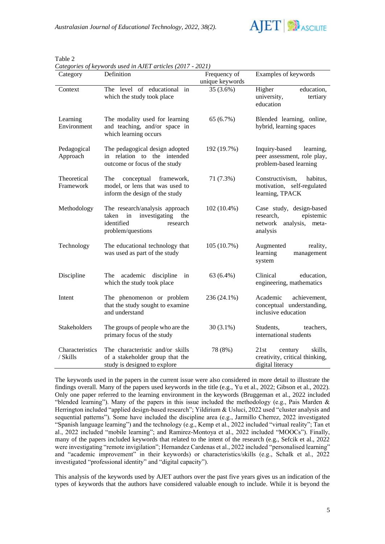

Table 2

*Categories of keywords used in AJET articles (2017 - 2021)*

| Category                    | Definition                                                                                                           | Frequency of                 | Examples of keywords                                                                            |
|-----------------------------|----------------------------------------------------------------------------------------------------------------------|------------------------------|-------------------------------------------------------------------------------------------------|
| Context                     | The level of educational in<br>which the study took place                                                            | unique keywords<br>35 (3.6%) | Higher<br>education,<br>university,<br>tertiary<br>education                                    |
| Learning<br>Environment     | The modality used for learning<br>and teaching, and/or space in<br>which learning occurs                             | 65 (6.7%)                    | Blended learning, online,<br>hybrid, learning spaces                                            |
| Pedagogical<br>Approach     | The pedagogical design adopted<br>in relation to the intended<br>outcome or focus of the study                       | 192 (19.7%)                  | Inquiry-based<br>learning,<br>peer assessment, role play,<br>problem-based learning             |
| Theoretical<br>Framework    | The<br>conceptual<br>framework,<br>model, or lens that was used to<br>inform the design of the study                 | 71 (7.3%)                    | Constructivism,<br>habitus,<br>motivation, self-regulated<br>learning, TPACK                    |
| Methodology                 | The research/analysis approach<br>investigating<br>taken<br>the<br>in<br>identified<br>research<br>problem/questions | $102(10.4\%)$                | Case study, design-based<br>epistemic<br>research,<br>analysis,<br>network<br>meta-<br>analysis |
| Technology                  | The educational technology that<br>was used as part of the study                                                     | 105(10.7%)                   | Augmented<br>reality,<br>learning<br>management<br>system                                       |
| Discipline                  | academic<br>discipline<br>The<br>in<br>which the study took place                                                    | 63 (6.4%)                    | Clinical<br>education,<br>engineering, mathematics                                              |
| Intent                      | The phenomenon or problem<br>that the study sought to examine<br>and understand                                      | 236 (24.1%)                  | Academic<br>achievement,<br>conceptual understanding,<br>inclusive education                    |
| Stakeholders                | The groups of people who are the<br>primary focus of the study                                                       | $30(3.1\%)$                  | Students,<br>teachers,<br>international students                                                |
| Characteristics<br>/ Skills | The characteristic and/or skills<br>of a stakeholder group that the<br>study is designed to explore                  | 78 (8%)                      | 21st<br>skills,<br>century<br>creativity, critical thinking,<br>digital literacy                |

The keywords used in the papers in the current issue were also considered in more detail to illustrate the findings overall. Many of the papers used keywords in the title (e.g., Yu et al., 2022; Gibson et al., 2022). Only one paper referred to the learning environment in the keywords (Bruggeman et al., 2022 included "blended learning"). Many of the papers in this issue included the methodology (e.g., Pais Marden  $\&$ Herrington included "applied design-based research"; Yildirium & Usluci, 2022 used "cluster analysis and sequential patterns"). Some have included the discipline area (e.g., Jarmillo Cherrez, 2022 investigated "Spanish language learning") and the technology (e.g., Kemp et al., 2022 included "virtual reality"; Tan et al., 2022 included "mobile learning"; and Ramirez-Montoya et al., 2022 included "MOOCs"). Finally, many of the papers included keywords that related to the intent of the research (e.g., Sefcik et al., 2022 were investigating "remote invigilation"; Hernandez Cardenas et al., 2022 included "personalised learning" and "academic improvement" in their keywords) or characteristics/skills (e.g., Schalk et al., 2022 investigated "professional identity" and "digital capacity").

This analysis of the keywords used by AJET authors over the past five years gives us an indication of the types of keywords that the authors have considered valuable enough to include. While it is beyond the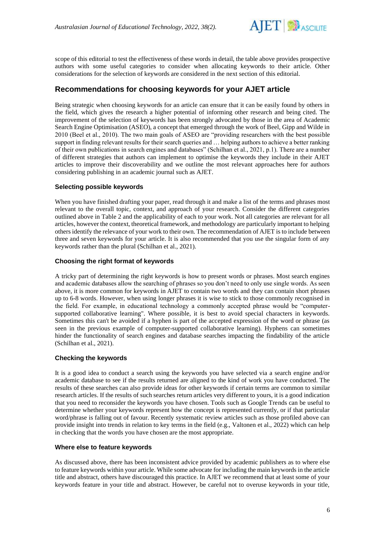

scope of this editorial to test the effectiveness of these words in detail, the table above provides prospective authors with some useful categories to consider when allocating keywords to their article. Other considerations for the selection of keywords are considered in the next section of this editorial.

## **Recommendations for choosing keywords for your AJET article**

Being strategic when choosing keywords for an article can ensure that it can be easily found by others in the field, which gives the research a higher potential of informing other research and being cited. The improvement of the selection of keywords has been strongly advocated by those in the area of Academic Search Engine Optimisation (ASEO), a concept that emerged through the work of Beel, Gipp and Wilde in 2010 (Beel et al., 2010). The two main goals of ASEO are "providing researchers with the best possible support in finding relevant results for their search queries and … helping authors to achieve a better ranking of their own publications in search engines and databases" (Schilhan et al., 2021, p.1). There are a number of different strategies that authors can implement to optimise the keywords they include in their AJET articles to improve their discoverability and we outline the most relevant approaches here for authors considering publishing in an academic journal such as AJET.

#### **Selecting possible keywords**

When you have finished drafting your paper, read through it and make a list of the terms and phrases most relevant to the overall topic, context, and approach of your research. Consider the different categories outlined above in Table 2 and the applicability of each to your work. Not all categories are relevant for all articles, however the context, theoretical framework, and methodology are particularly important to helping others identify the relevance of your work to their own. The recommendation of AJET is to include between three and seven keywords for your article. It is also recommended that you use the singular form of any keywords rather than the plural (Schilhan et al., 2021).

#### **Choosing the right format of keywords**

A tricky part of determining the right keywords is how to present words or phrases. Most search engines and academic databases allow the searching of phrases so you don't need to only use single words. As seen above, it is more common for keywords in AJET to contain two words and they can contain short phrases up to 6-8 words. However, when using longer phrases it is wise to stick to those commonly recognised in the field. For example, in educational technology a commonly accepted phrase would be "computersupported collaborative learning". Where possible, it is best to avoid special characters in keywords. Sometimes this can't be avoided if a hyphen is part of the accepted expression of the word or phrase (as seen in the previous example of computer-supported collaborative learning). Hyphens can sometimes hinder the functionality of search engines and database searches impacting the findability of the article (Schilhan et al., 2021).

#### **Checking the keywords**

It is a good idea to conduct a search using the keywords you have selected via a search engine and/or academic database to see if the results returned are aligned to the kind of work you have conducted. The results of these searches can also provide ideas for other keywords if certain terms are common to similar research articles. If the results of such searches return articles very different to yours, it is a good indication that you need to reconsider the keywords you have chosen. Tools such as Google Trends can be useful to determine whether your keywords represent how the concept is represented currently, or if that particular word/phrase is falling out of favour. Recently systematic review articles such as those profiled above can provide insight into trends in relation to key terms in the field (e.g., Valtonen et al., 2022) which can help in checking that the words you have chosen are the most appropriate.

#### **Where else to feature keywords**

As discussed above, there has been inconsistent advice provided by academic publishers as to where else to feature keywords within your article. While some advocate for including the main keywords in the article title and abstract, others have discouraged this practice. In AJET we recommend that at least some of your keywords feature in your title and abstract. However, be careful not to overuse keywords in your title,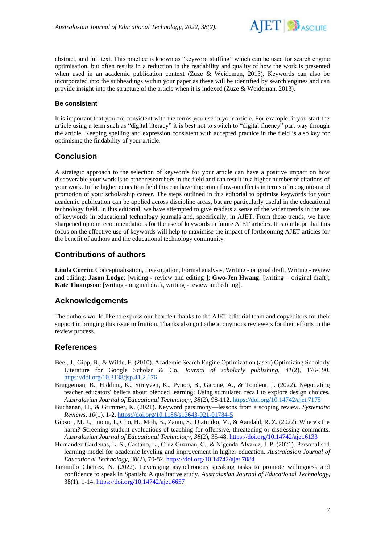

abstract, and full text. This practice is known as "keyword stuffing" which can be used for search engine optimisation, but often results in a reduction in the readability and quality of how the work is presented when used in an academic publication context (Zuze & Weideman, 2013). Keywords can also be incorporated into the subheadings within your paper as these will be identified by search engines and can provide insight into the structure of the article when it is indexed (Zuze & Weideman, 2013).

#### **Be consistent**

It is important that you are consistent with the terms you use in your article. For example, if you start the article using a term such as "digital literacy" it is best not to switch to "digital fluency" part way through the article. Keeping spelling and expression consistent with accepted practice in the field is also key for optimising the findability of your article.

## **Conclusion**

A strategic approach to the selection of keywords for your article can have a positive impact on how discoverable your work is to other researchers in the field and can result in a higher number of citations of your work. In the higher education field this can have important flow-on effects in terms of recognition and promotion of your scholarship career. The steps outlined in this editorial to optimise keywords for your academic publication can be applied across discipline areas, but are particularly useful in the educational technology field. In this editorial, we have attempted to give readers a sense of the wider trends in the use of keywords in educational technology journals and, specifically, in AJET. From these trends, we have sharpened up our recommendations for the use of keywords in future AJET articles. It is our hope that this focus on the effective use of keywords will help to maximise the impact of forthcoming AJET articles for the benefit of authors and the educational technology community.

## **Contributions of authors**

**Linda Corrin**: Conceptualisation, Investigation, Formal analysis, Writing - original draft, Writing - review and editing; **Jason Lodge**: [writing - review and editing ]; **Gwo-Jen Hwang**: [writing – original draft]; **Kate Thompson**: [writing - original draft, writing - review and editing].

## **Acknowledgements**

The authors would like to express our heartfelt thanks to the AJET editorial team and copyeditors for their support in bringing this issue to fruition. Thanks also go to the anonymous reviewers for their efforts in the review process.

## **References**

- Beel, J., Gipp, B., & Wilde, E. (2010). Academic Search Engine Optimization (aseo) Optimizing Scholarly Literature for Google Scholar & Co. *Journal of scholarly publishing, 41*(2), 176-190. <https://doi.org/10.3138/jsp.41.2.176>
- Bruggeman, B., Hidding, K., Struyven, K., Pynoo, B., Garone, A., & Tondeur, J. (2022). Negotiating teacher educators' beliefs about blended learning: Using stimulated recall to explore design choices. *Australasian Journal of Educational Technology, 38*(2), 98-112[.](https://doi.org/10.14742/ajet.7175) <https://doi.org/10.14742/ajet.7175>
- Buchanan, H., & Grimmer, K. (2021). Keyword parsimony—lessons from a scoping review. *Systematic Reviews, 10*(1), 1-2.<https://doi.org/10.1186/s13643-021-01784-5>
- Gibson, M. J., Luong, J., Cho, H., Moh, B., Zanin, S., Djatmiko, M., & Aandahl, R. Z. (2022). Where's the harm? Screening student evaluations of teaching for offensive, threatening or distressing comments. *Australasian Journal of Educational Technology, 38*(2), 35-48[.](https://doi.org/10.14742/ajet.6133) <https://doi.org/10.14742/ajet.6133>
- Hernandez Cardenas, L. S., Castano, L., Cruz Guzman, C., & Nigenda Alvarez, J. P. (2021). Personalised learning model for academic leveling and improvement in higher education. *Australasian Journal of Educational Technology, 38*(2), 70-82. <https://doi.org/10.14742/ajet.7084>
- Jaramillo Cherrez, N. (2022). Leveraging asynchronous speaking tasks to promote willingness and confidence to speak in Spanish: A qualitative study. *Australasian Journal of Educational Technology*, 38(1), 1-1[4.](https://doi.org/10.14742/ajet.6657) <https://doi.org/10.14742/ajet.6657>